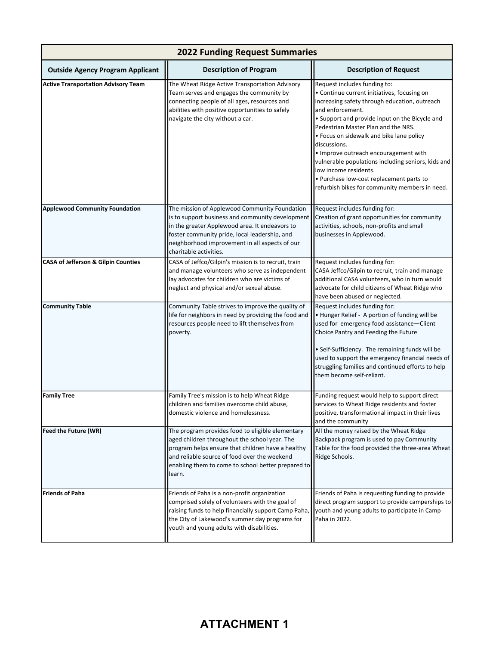| <b>2022 Funding Request Summaries</b>          |                                                                                                                                                                                                                                                                                  |                                                                                                                                                                                                                                                                                                                                                                                                                                                                                                                             |  |  |
|------------------------------------------------|----------------------------------------------------------------------------------------------------------------------------------------------------------------------------------------------------------------------------------------------------------------------------------|-----------------------------------------------------------------------------------------------------------------------------------------------------------------------------------------------------------------------------------------------------------------------------------------------------------------------------------------------------------------------------------------------------------------------------------------------------------------------------------------------------------------------------|--|--|
| <b>Outside Agency Program Applicant</b>        | <b>Description of Program</b>                                                                                                                                                                                                                                                    | <b>Description of Request</b>                                                                                                                                                                                                                                                                                                                                                                                                                                                                                               |  |  |
| <b>Active Transportation Advisory Team</b>     | The Wheat Ridge Active Transportation Advisory<br>Team serves and engages the community by<br>connecting people of all ages, resources and<br>abilities with positive opportunities to safely<br>navigate the city without a car.                                                | Request includes funding to:<br>• Continue current initiatives, focusing on<br>increasing safety through education, outreach<br>and enforcement.<br>• Support and provide input on the Bicycle and<br>Pedestrian Master Plan and the NRS.<br>• Focus on sidewalk and bike lane policy<br>discussions.<br>. Improve outreach encouragement with<br>vulnerable populations including seniors, kids and<br>low income residents.<br>· Purchase low-cost replacement parts to<br>refurbish bikes for community members in need. |  |  |
| <b>Applewood Community Foundation</b>          | The mission of Applewood Community Foundation<br>is to support business and community development<br>in the greater Applewood area. It endeavors to<br>foster community pride, local leadership, and<br>neighborhood improvement in all aspects of our<br>charitable activities. | Request includes funding for:<br>Creation of grant opportunities for community<br>activities, schools, non-profits and small<br>businesses in Applewood.                                                                                                                                                                                                                                                                                                                                                                    |  |  |
| <b>CASA of Jefferson &amp; Gilpin Counties</b> | CASA of Jeffco/Gilpin's mission is to recruit, train<br>and manage volunteers who serve as independent<br>lay advocates for children who are victims of<br>neglect and physical and/or sexual abuse.                                                                             | Request includes funding for:<br>CASA Jeffco/Gilpin to recruit, train and manage<br>additional CASA volunteers, who in turn would<br>advocate for child citizens of Wheat Ridge who<br>have been abused or neglected.                                                                                                                                                                                                                                                                                                       |  |  |
| <b>Community Table</b>                         | Community Table strives to improve the quality of<br>life for neighbors in need by providing the food and<br>resources people need to lift themselves from<br>poverty.                                                                                                           | Request includes funding for:<br>. Hunger Relief - A portion of funding will be<br>used for emergency food assistance-Client<br>Choice Pantry and Feeding the Future<br>· Self-Sufficiency. The remaining funds will be<br>used to support the emergency financial needs of<br>struggling families and continued efforts to help<br>them become self-reliant.                                                                                                                                                               |  |  |
| <b>Family Tree</b>                             | Family Tree's mission is to help Wheat Ridge<br>children and families overcome child abuse,<br>domestic violence and homelessness.                                                                                                                                               | Funding request would help to support direct<br>services to Wheat Ridge residents and foster<br>positive, transformational impact in their lives<br>and the community                                                                                                                                                                                                                                                                                                                                                       |  |  |
| Feed the Future (WR)                           | The program provides food to eligible elementary<br>aged children throughout the school year. The<br>program helps ensure that children have a healthy<br>and reliable source of food over the weekend<br>enabling them to come to school better prepared to<br>learn.           | All the money raised by the Wheat Ridge<br>Backpack program is used to pay Community<br>Table for the food provided the three-area Wheat<br>Ridge Schools.                                                                                                                                                                                                                                                                                                                                                                  |  |  |
| <b>Friends of Paha</b>                         | Friends of Paha is a non-profit organization<br>comprised solely of volunteers with the goal of<br>raising funds to help financially support Camp Paha,<br>the City of Lakewood's summer day programs for<br>youth and young adults with disabilities.                           | Friends of Paha is requesting funding to provide<br>direct program support to provide camperships to<br>youth and young adults to participate in Camp<br>Paha in 2022.                                                                                                                                                                                                                                                                                                                                                      |  |  |

## **ATTACHMENT 1**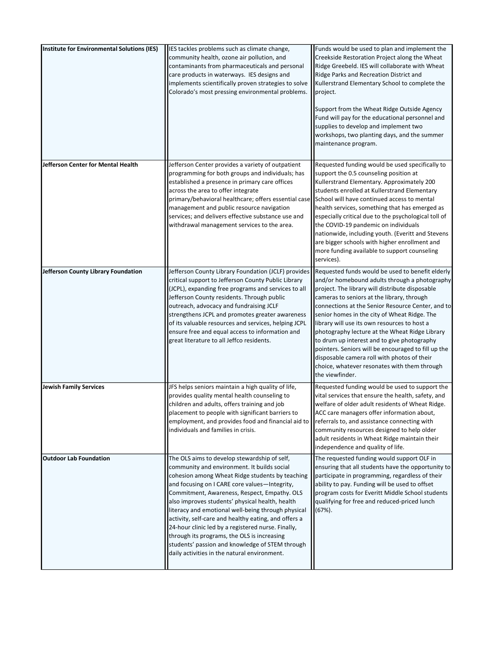| Institute for Environmental Solutions (IES) | IES tackles problems such as climate change,<br>community health, ozone air pollution, and<br>contaminants from pharmaceuticals and personal<br>care products in waterways. IES designs and<br>implements scientifically proven strategies to solve<br>Colorado's most pressing environmental problems.                                                                                                                                                                                                                                                                                                                  | Funds would be used to plan and implement the<br>Creekside Restoration Project along the Wheat<br>Ridge Greebeld. IES will collaborate with Wheat<br>Ridge Parks and Recreation District and<br>Kullerstrand Elementary School to complete the<br>project.<br>Support from the Wheat Ridge Outside Agency<br>Fund will pay for the educational personnel and<br>supplies to develop and implement two<br>workshops, two planting days, and the summer<br>maintenance program.                                                                                                                                                     |
|---------------------------------------------|--------------------------------------------------------------------------------------------------------------------------------------------------------------------------------------------------------------------------------------------------------------------------------------------------------------------------------------------------------------------------------------------------------------------------------------------------------------------------------------------------------------------------------------------------------------------------------------------------------------------------|-----------------------------------------------------------------------------------------------------------------------------------------------------------------------------------------------------------------------------------------------------------------------------------------------------------------------------------------------------------------------------------------------------------------------------------------------------------------------------------------------------------------------------------------------------------------------------------------------------------------------------------|
| Jefferson Center for Mental Health          | Jefferson Center provides a variety of outpatient<br>programming for both groups and individuals; has<br>established a presence in primary care offices<br>across the area to offer integrate<br>primary/behavioral healthcare; offers essential case<br>management and public resource navigation<br>services; and delivers effective substance use and<br>withdrawal management services to the area.                                                                                                                                                                                                                  | Requested funding would be used specifically to<br>support the 0.5 counseling position at<br>Kullerstrand Elementary. Approximately 200<br>students enrolled at Kullerstrand Elementary<br>School will have continued access to mental<br>health services, something that has emerged as<br>especially critical due to the psychological toll of<br>the COVID-19 pandemic on individuals<br>nationwide, including youth. (Everitt and Stevens<br>are bigger schools with higher enrollment and<br>more funding available to support counseling<br>services).                                                                      |
| Jefferson County Library Foundation         | Jefferson County Library Foundation (JCLF) provides<br>critical support to Jefferson County Public Library<br>(JCPL), expanding free programs and services to all<br>Jefferson County residents. Through public<br>outreach, advocacy and fundraising JCLF<br>strengthens JCPL and promotes greater awareness<br>of its valuable resources and services, helping JCPL<br>ensure free and equal access to information and<br>great literature to all Jeffco residents.                                                                                                                                                    | Requested funds would be used to benefit elderly<br>and/or homebound adults through a photography<br>project. The library will distribute disposable<br>cameras to seniors at the library, through<br>connections at the Senior Resource Center, and to<br>senior homes in the city of Wheat Ridge. The<br>library will use its own resources to host a<br>photography lecture at the Wheat Ridge Library<br>to drum up interest and to give photography<br>pointers. Seniors will be encouraged to fill up the<br>disposable camera roll with photos of their<br>choice, whatever resonates with them through<br>the viewfinder. |
| Jewish Family Services                      | JFS helps seniors maintain a high quality of life,<br>provides quality mental health counseling to<br>children and adults, offers training and job<br>placement to people with significant barriers to<br>employment, and provides food and financial aid to<br>individuals and families in crisis.                                                                                                                                                                                                                                                                                                                      | Requested funding would be used to support the<br>vital services that ensure the health, safety, and<br>welfare of older adult residents of Wheat Ridge.<br>ACC care managers offer information about,<br>referrals to, and assistance connecting with<br>community resources designed to help older<br>adult residents in Wheat Ridge maintain their<br>independence and quality of life.                                                                                                                                                                                                                                        |
| <b>Outdoor Lab Foundation</b>               | The OLS aims to develop stewardship of self,<br>community and environment. It builds social<br>cohesion among Wheat Ridge students by teaching<br>and focusing on I CARE core values-Integrity,<br>Commitment, Awareness, Respect, Empathy. OLS<br>also improves students' physical health, health<br>literacy and emotional well-being through physical<br>activity, self-care and healthy eating, and offers a<br>24-hour clinic led by a registered nurse. Finally,<br>through its programs, the OLS is increasing<br>students' passion and knowledge of STEM through<br>daily activities in the natural environment. | The requested funding would support OLF in<br>ensuring that all students have the opportunity to<br>participate in programming, regardless of their<br>ability to pay. Funding will be used to offset<br>program costs for Everitt Middle School students<br>qualifying for free and reduced-priced lunch<br>$(67%)$ .                                                                                                                                                                                                                                                                                                            |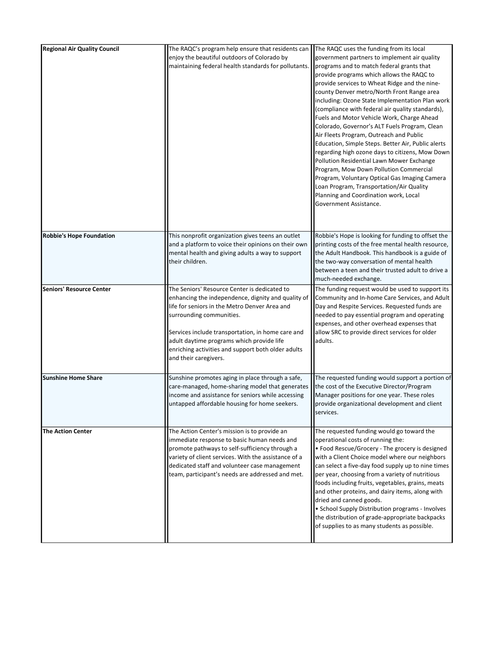| <b>Regional Air Quality Council</b> | The RAQC's program help ensure that residents can<br>enjoy the beautiful outdoors of Colorado by<br>maintaining federal health standards for pollutants.                                                                                                                                                                                                         | The RAQC uses the funding from its local<br>government partners to implement air quality<br>programs and to match federal grants that<br>provide programs which allows the RAQC to<br>provide services to Wheat Ridge and the nine-<br>county Denver metro/North Front Range area<br>including: Ozone State Implementation Plan work<br>(compliance with federal air quality standards),<br>Fuels and Motor Vehicle Work, Charge Ahead<br>Colorado, Governor's ALT Fuels Program, Clean<br>Air Fleets Program, Outreach and Public<br>Education, Simple Steps. Better Air, Public alerts<br>regarding high ozone days to citizens, Mow Down<br>Pollution Residential Lawn Mower Exchange<br>Program, Mow Down Pollution Commercial<br>Program, Voluntary Optical Gas Imaging Camera<br>Loan Program, Transportation/Air Quality<br>Planning and Coordination work, Local<br>Government Assistance. |
|-------------------------------------|------------------------------------------------------------------------------------------------------------------------------------------------------------------------------------------------------------------------------------------------------------------------------------------------------------------------------------------------------------------|----------------------------------------------------------------------------------------------------------------------------------------------------------------------------------------------------------------------------------------------------------------------------------------------------------------------------------------------------------------------------------------------------------------------------------------------------------------------------------------------------------------------------------------------------------------------------------------------------------------------------------------------------------------------------------------------------------------------------------------------------------------------------------------------------------------------------------------------------------------------------------------------------|
| <b>Robbie's Hope Foundation</b>     | This nonprofit organization gives teens an outlet<br>and a platform to voice their opinions on their own<br>mental health and giving adults a way to support<br>their children.                                                                                                                                                                                  | Robbie's Hope is looking for funding to offset the<br>printing costs of the free mental health resource,<br>the Adult Handbook. This handbook is a guide of<br>the two-way conversation of mental health<br>between a teen and their trusted adult to drive a<br>much-needed exchange.                                                                                                                                                                                                                                                                                                                                                                                                                                                                                                                                                                                                             |
| Seniors' Resource Center            | The Seniors' Resource Center is dedicated to<br>enhancing the independence, dignity and quality of<br>life for seniors in the Metro Denver Area and<br>surrounding communities.<br>Services include transportation, in home care and<br>adult daytime programs which provide life<br>enriching activities and support both older adults<br>and their caregivers. | The funding request would be used to support its<br>Community and In-home Care Services, and Adult<br>Day and Respite Services. Requested funds are<br>needed to pay essential program and operating<br>expenses, and other overhead expenses that<br>allow SRC to provide direct services for older<br>adults.                                                                                                                                                                                                                                                                                                                                                                                                                                                                                                                                                                                    |
| <b>Sunshine Home Share</b>          | Sunshine promotes aging in place through a safe,<br>care-managed, home-sharing model that generates<br>income and assistance for seniors while accessing<br>untapped affordable housing for home seekers.                                                                                                                                                        | The requested funding would support a portion of<br>the cost of the Executive Director/Program<br>Manager positions for one year. These roles<br>provide organizational development and client<br>services.                                                                                                                                                                                                                                                                                                                                                                                                                                                                                                                                                                                                                                                                                        |
| <b>The Action Center</b>            | The Action Center's mission is to provide an<br>immediate response to basic human needs and<br>promote pathways to self-sufficiency through a<br>variety of client services. With the assistance of a<br>dedicated staff and volunteer case management<br>team, participant's needs are addressed and met.                                                       | The requested funding would go toward the<br>operational costs of running the:<br>• Food Rescue/Grocery - The grocery is designed<br>with a Client Choice model where our neighbors<br>can select a five-day food supply up to nine times<br>per year, choosing from a variety of nutritious<br>foods including fruits, vegetables, grains, meats<br>and other proteins, and dairy items, along with<br>dried and canned goods.<br>• School Supply Distribution programs - Involves<br>the distribution of grade-appropriate backpacks<br>of supplies to as many students as possible.                                                                                                                                                                                                                                                                                                             |